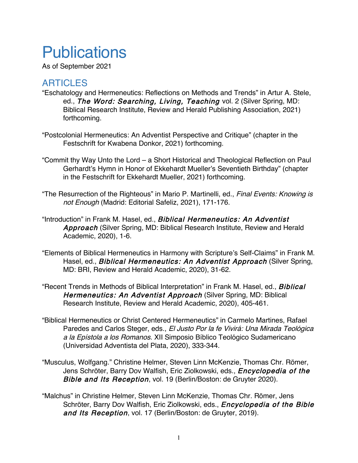## **Publications**

As of September 2021

## ARTICLES

- "Eschatology and Hermeneutics: Reflections on Methods and Trends" in Artur A. Stele, ed., The Word: Searching, Living, Teaching vol. 2 (Silver Spring, MD: Biblical Research Institute, Review and Herald Publishing Association, 2021) forthcoming.
- "Postcolonial Hermeneutics: An Adventist Perspective and Critique" (chapter in the Festschrift for Kwabena Donkor, 2021) forthcoming.
- "Commit thy Way Unto the Lord a Short Historical and Theological Reflection on Paul Gerhardt's Hymn in Honor of Ekkehardt Mueller's Seventieth Birthday" (chapter in the Festschrift for Ekkehardt Mueller, 2021) forthcoming.
- "The Resurrection of the Righteous" in Mario P. Martinelli, ed., Final Events: Knowing is not Enough (Madrid: Editorial Safeliz, 2021), 171-176.
- "Introduction" in Frank M. Hasel, ed., Biblical Hermeneutics: An Adventist Approach (Silver Spring, MD: Biblical Research Institute, Review and Herald Academic, 2020), 1-6.
- "Elements of Biblical Hermeneutics in Harmony with Scripture's Self-Claims" in Frank M. Hasel, ed., *Biblical Hermeneutics: An Adventist Approach* (Silver Spring, MD: BRI, Review and Herald Academic, 2020), 31-62.
- "Recent Trends in Methods of Biblical Interpretation" in Frank M. Hasel, ed., **Biblical** Hermeneutics: An Adventist Approach (Silver Spring, MD: Biblical Research Institute, Review and Herald Academic, 2020), 405-461.
- "Biblical Hermeneutics or Christ Centered Hermeneutics" in Carmelo Martines, Rafael Paredes and Carlos Steger, eds., El Justo Por la fe Vivirá: Una Mirada Teológica a la Epístola a los Romanos. XII Simposio Bíblico Teológico Sudamericano (Universidad Adventista del Plata, 2020), 333-344.
- "Musculus, Wolfgang." Christine Helmer, Steven Linn McKenzie, Thomas Chr. Römer, Jens Schröter, Barry Dov Walfish, Eric Ziolkowski, eds., *Encyclopedia of the* Bible and Its Reception, vol. 19 (Berlin/Boston: de Gruyter 2020).
- "Malchus" in Christine Helmer, Steven Linn McKenzie, Thomas Chr. Römer, Jens Schröter, Barry Dov Walfish, Eric Ziolkowski, eds., *Encyclopedia of the Bible* and Its Reception, vol. 17 (Berlin/Boston: de Gruyter, 2019).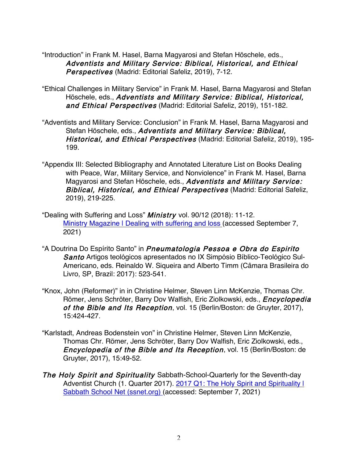"Introduction" in Frank M. Hasel, Barna Magyarosi and Stefan Höschele, eds., Adventists and Military Service: Biblical, Historical, and Ethical Perspectives (Madrid: Editorial Safeliz, 2019), 7-12.

- "Ethical Challenges in Military Service" in Frank M. Hasel, Barna Magyarosi and Stefan Höschele, eds., Adventists and Military Service: Biblical, Historical, and Ethical Perspectives (Madrid: Editorial Safeliz, 2019), 151-182.
- "Adventists and Military Service: Conclusion" in Frank M. Hasel, Barna Magyarosi and Stefan Höschele, eds., Adventists and Military Service: Biblical, Historical, and Ethical Perspectives (Madrid: Editorial Safeliz, 2019), 195-199.
- "Appendix III: Selected Bibliography and Annotated Literature List on Books Dealing with Peace, War, Military Service, and Nonviolence" in Frank M. Hasel, Barna Magyarosi and Stefan Höschele, eds., Adventists and Military Service: Biblical, Historical, and Ethical Perspectives (Madrid: Editorial Safeliz, 2019), 219-225.
- "Dealing with Suffering and Loss" Ministry vol. 90/12 (2018): 11-12. Ministry Magazine | Dealing with suffering and loss (accessed September 7, 2021)
- "A Doutrina Do Espírito Santo" in Pneumatologia Pessoa e Obra do Espirito Santo Artigos teológicos apresentados no IX Simpósio Bíblico-Teológico Sul-Americano, eds. Reinaldo W. Siqueira and Alberto Timm (Câmara Brasileira do Livro, SP, Brazil: 2017): 523-541.
- "Knox, John (Reformer)" in in Christine Helmer, Steven Linn McKenzie, Thomas Chr. Römer, Jens Schröter, Barry Dov Walfish, Eric Ziolkowski, eds., *Encyclopedia* of the Bible and Its Reception, vol. 15 (Berlin/Boston: de Gruyter, 2017), 15:424-427.
- "Karlstadt, Andreas Bodenstein von" in Christine Helmer, Steven Linn McKenzie, Thomas Chr. Römer, Jens Schröter, Barry Dov Walfish, Eric Ziolkowski, eds., Encyclopedia of the Bible and Its Reception, vol. 15 (Berlin/Boston: de Gruyter, 2017), 15:49-52.
- The Holy Spirit and Spirituality Sabbath-School-Quarterly for the Seventh-day Adventist Church (1. Quarter 2017). 2017 Q1: The Holy Spirit and Spirituality I Sabbath School Net (ssnet.org) (accessed: September 7, 2021)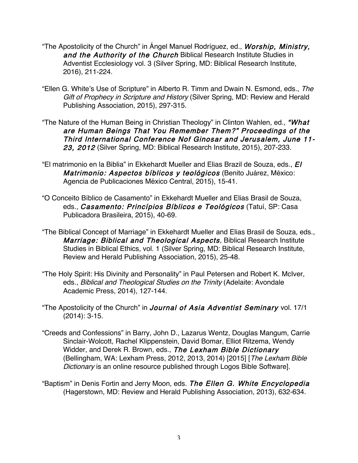- "The Apostolicity of the Church" in Angel Manuel Rodríguez, ed., *Worship, Ministry,* and the Authority of the Church Biblical Research Institute Studies in Adventist Ecclesiology vol. 3 (Silver Spring, MD: Biblical Research Institute, 2016), 211-224.
- "Ellen G. White's Use of Scripture" in Alberto R. Timm and Dwain N. Esmond, eds., The Gift of Prophecy in Scripture and History (Silver Spring, MD: Review and Herald Publishing Association, 2015), 297-315.
- "The Nature of the Human Being in Christian Theology" in Clinton Wahlen, ed., "What are Human Beings That You Remember Them?" Proceedings of the Third International Conference Nof Ginosar and Jerusalem, June 11- 23, 2012 (Silver Spring, MD: Biblical Research Institute, 2015), 207-233.
- "El matrimonio en la Biblia" in Ekkehardt Mueller and Elias Brazil de Souza, eds., El Matrimonio: Aspectos bíblicos y teológicos (Benito Juárez, México: Agencia de Publicaciones México Central, 2015), 15-41.
- "O Conceito Bíblico de Casamento" in Ekkehardt Mueller and Elias Brasil de Souza, eds., Casamento: Princípios Bíblicos e Teológicos (Tatuí, SP: Casa Publicadora Brasileira, 2015), 40-69.
- "The Biblical Concept of Marriage" in Ekkehardt Mueller and Elias Brasil de Souza, eds., Marriage: Biblical and Theological Aspects, Biblical Research Institute Studies in Biblical Ethics, vol. 1 (Silver Spring, MD: Biblical Research Institute, Review and Herald Publishing Association, 2015), 25-48.
- "The Holy Spirit: His Divinity and Personality" in Paul Petersen and Robert K. McIver, eds., Biblical and Theological Studies on the Trinity (Adelaite: Avondale Academic Press, 2014), 127-144.
- "The Apostolicity of the Church" in Journal of Asia Adventist Seminary vol. 17/1 (2014): 3-15.
- "Creeds and Confessions" in Barry, John D., Lazarus Wentz, Douglas Mangum, Carrie Sinclair-Wolcott, Rachel Klippenstein, David Bomar, Elliot Ritzema, Wendy Widder, and Derek R. Brown, eds., The Lexham Bible Dictionary (Bellingham, WA: Lexham Press, 2012, 2013, 2014) [2015] [The Lexham Bible Dictionary is an online resource published through Logos Bible Software].
- "Baptism" in Denis Fortin and Jerry Moon, eds. The Ellen G. White Encyclopedia (Hagerstown, MD: Review and Herald Publishing Association, 2013), 632-634.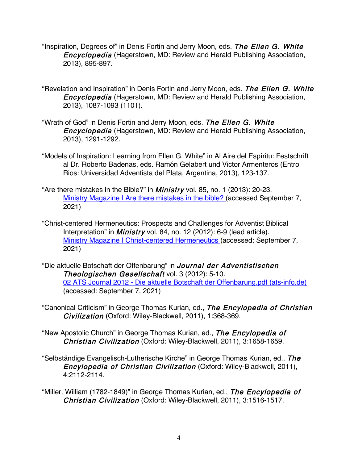- "Inspiration, Degrees of" in Denis Fortin and Jerry Moon, eds. The Ellen G. White Encyclopedia (Hagerstown, MD: Review and Herald Publishing Association, 2013), 895-897.
- "Revelation and Inspiration" in Denis Fortin and Jerry Moon, eds. The Ellen G. White Encyclopedia (Hagerstown, MD: Review and Herald Publishing Association, 2013), 1087-1093 (1101).
- "Wrath of God" in Denis Fortin and Jerry Moon, eds. The Ellen G. White Encyclopedia (Hagerstown, MD: Review and Herald Publishing Association, 2013), 1291-1292.
- "Models of Inspiration: Learning from Ellen G. White" in Al Aire del Espíritu: Festschrift al Dr. Roberto Badenas, eds. Ramón Gelabert und Victor Armenteros (Entro Rios: Universidad Adventista del Plata, Argentina, 2013), 123-137.
- "Are there mistakes in the Bible?" in *Ministry* vol. 85, no. 1 (2013): 20-23. Ministry Magazine I Are there mistakes in the bible? (accessed September 7, 2021)
- "Christ-centered Hermeneutics: Prospects and Challenges for Adventist Biblical Interpretation" in *Ministry* vol. 84, no. 12 (2012): 6-9 (lead article). Ministry Magazine | Christ-centered Hermeneutics (accessed: September 7, 2021)
- "Die aktuelle Botschaft der Offenbarung" in Journal der Adventistischen Theologischen Gesellschaft vol. 3 (2012): 5-10. 02 ATS Journal 2012 - Die aktuelle Botschaft der Offenbarung.pdf (ats-info.de) (accessed: September 7, 2021)
- "Canonical Criticism" in George Thomas Kurian, ed., The Encylopedia of Christian Civilization (Oxford: Wiley-Blackwell, 2011), 1:368-369.
- "New Apostolic Church" in George Thomas Kurian, ed., The Encylopedia of Christian Civilization (Oxford: Wiley-Blackwell, 2011), 3:1658-1659.
- "Selbständige Evangelisch-Lutherische Kirche" in George Thomas Kurian, ed., The Encylopedia of Christian Civilization (Oxford: Wiley-Blackwell, 2011), 4:2112-2114.
- "Miller, William (1782-1849)" in George Thomas Kurian, ed., The Encylopedia of Christian Civilization (Oxford: Wiley-Blackwell, 2011), 3:1516-1517.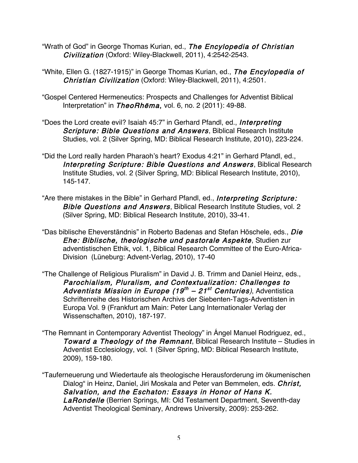- "Wrath of God" in George Thomas Kurian, ed., The Encylopedia of Christian Civilization (Oxford: Wiley-Blackwell, 2011), 4:2542-2543.
- "White, Ellen G. (1827-1915)" in George Thomas Kurian, ed., The Encylopedia of Christian Civilization (Oxford: Wiley-Blackwell, 2011), 4:2501.
- "Gospel Centered Hermeneutics: Prospects and Challenges for Adventist Biblical Interpretation" in TheoRhēma, vol. 6, no. 2 (2011): 49-88.
- "Does the Lord create evil? Isaiah 45:7" in Gerhard Pfandl, ed., Interpreting Scripture: Bible Questions and Answers, Biblical Research Institute Studies, vol. 2 (Silver Spring, MD: Biblical Research Institute, 2010), 223-224.
- "Did the Lord really harden Pharaoh's heart? Exodus 4:21" in Gerhard Pfandl, ed., Interpreting Scripture: Bible Questions and Answers, Biblical Research Institute Studies, vol. 2 (Silver Spring, MD: Biblical Research Institute, 2010), 145-147.
- "Are there mistakes in the Bible" in Gerhard Pfandl, ed., Interpreting Scripture: Bible Questions and Answers, Biblical Research Institute Studies, vol. 2 (Silver Spring, MD: Biblical Research Institute, 2010), 33-41.
- "Das biblische Eheverständnis" in Roberto Badenas and Stefan Höschele, eds., Die Ehe: Biblische, theologische und pastorale Aspekte, Studien zur adventistischen Ethik, vol. 1, Biblical Research Committee of the Euro-Africa-Division (Lüneburg: Advent-Verlag, 2010), 17-40
- "The Challenge of Religious Pluralism" in David J. B. Trimm and Daniel Heinz, eds., Parochialism, Pluralism, and Contextualization: Challenges to Adventists Mission in Europe (19<sup>th</sup> – 21<sup>st</sup> Centuries), Adventistica Schriftenreihe des Historischen Archivs der Siebenten-Tags-Adventisten in Europa Vol. 9 (Frankfurt am Main: Peter Lang Internationaler Verlag der Wissenschaften, 2010), 187-197.
- "The Remnant in Contemporary Adventist Theology" in Ángel Manuel Rodriguez, ed., Toward a Theology of the Remnant, Biblical Research Institute – Studies in Adventist Ecclesiology, vol. 1 (Silver Spring, MD: Biblical Research Institute, 2009), 159-180.
- "Tauferneuerung und Wiedertaufe als theologische Herausforderung im ökumenischen Dialog" in Heinz, Daniel, Jiri Moskala and Peter van Bemmelen, eds. Christ, Salvation, and the Eschaton: Essays in Honor of Hans K. LaRondelle (Berrien Springs, MI: Old Testament Department, Seventh-day Adventist Theological Seminary, Andrews University, 2009): 253-262.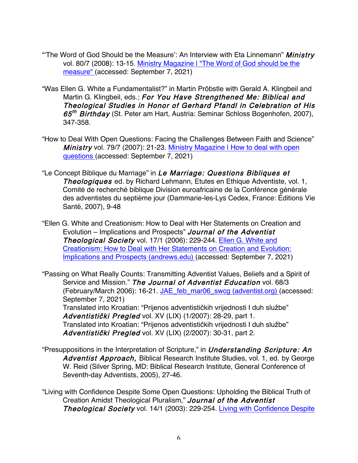- "The Word of God Should be the Measure': An Interview with Eta Linnemann" Ministry vol. 80/7 (2008): 13-15. Ministry Magazine | "The Word of God should be the measure" (accessed: September 7, 2021)
- "Was Ellen G. White a Fundamentalist?" in Martin Pröbstle with Gerald A. Klingbeil and Martin G. Klingbeil, eds.; For You Have Strengthened Me: Biblical and Theological Studies in Honor of Gerhard Pfandl in Celebration of His 65<sup>th</sup> Birthday (St. Peter am Hart, Austria: Seminar Schloss Bogenhofen, 2007), 347-358.
- "How to Deal With Open Questions: Facing the Challenges Between Faith and Science" Ministry vol. 79/7 (2007): 21-23. Ministry Magazine I How to deal with open questions (accessed: September 7, 2021)
- "Le Concept Biblique du Marriage" in Le Marriage: Questions Bibliques et Theologiques ed. by Richard Lehmann, Etutes en Ethique Adventiste, vol. 1, Comité de recherché biblique Division euroafricaine de la Conférence générale des adventistes du septième jour (Dammarie-les-Lys Cedex, France: Éditions Vie Santé, 2007), 9-48
- "Ellen G. White and Creationism: How to Deal with Her Statements on Creation and Evolution – Implications and Prospects" Journal of the Adventist Theological Society vol. 17/1 (2006): 229-244. Ellen G. White and Creationism: How to Deal with Her Statements on Creation and Evolution: Implications and Prospects (andrews.edu) (accessed: September 7, 2021)

"Passing on What Really Counts: Transmitting Adventist Values, Beliefs and a Spirit of Service and Mission." The Journal of Adventist Education vol. 68/3 (February/March 2006): 16-21. JAE\_feb\_mar06\_swcg (adventist.org) (accessed: September 7, 2021) Translated into Kroatian: "Prijenos adventistiĉkih vrijednosti I duh službe" Adventistički Pregled vol. XV (LIX) (1/2007): 28-29, part 1. Translated into Kroatian: "Prijenos adventistiĉkih vrijednosti I duh službe" Adventistički Pregled vol. XV (LIX) (2/2007): 30-31, part 2.

"Presuppositions in the Interpretation of Scripture," in *Understanding Scripture: An* Adventist Approach, Biblical Research Institute Studies, vol. 1, ed. by George W. Reid (Silver Spring, MD: Biblical Research Institute, General Conference of Seventh-day Adventists, 2005), 27-46.

"Living with Confidence Despite Some Open Questions: Upholding the Biblical Truth of Creation Amidst Theological Pluralism," Journal of the Adventist **Theological Society vol. 14/1 (2003): 229-254. Living with Confidence Despite**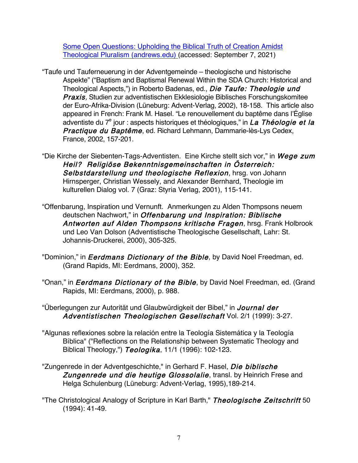Some Open Questions: Upholding the Biblical Truth of Creation Amidst Theological Pluralism (andrews.edu) (accessed: September 7, 2021)

- "Taufe und Tauferneuerung in der Adventgemeinde theologische und historische Aspekte" ("Baptism and Baptismal Renewal Within the SDA Church: Historical and Theological Aspects,") in Roberto Badenas, ed., Die Taufe: Theologie und **Praxis.** Studien zur adventistischen Ekklesiologie Biblisches Forschungskomitee der Euro-Afrika-Division (Lüneburg: Advent-Verlag, 2002), 18-158. This article also appeared in French: Frank M. Hasel. "Le renouvellement du baptême dans l'Église adventiste du  $7^e$  jour : aspects historiques et théologiques," in La Théologie et la Practique du Baptême, ed. Richard Lehmann, Dammarie-lès-Lys Cedex, France, 2002, 157-201.
- "Die Kirche der Siebenten-Tags-Adventisten. Eine Kirche stellt sich vor," in Wege zum Heil? Religiöse Bekenntnisgemeinschaften in Österreich: Selbstdarstellung und theologische Reflexion, hrsg. von Johann Hirnsperger, Christian Wessely, and Alexander Bernhard, Theologie im kulturellen Dialog vol. 7 (Graz: Styria Verlag, 2001), 115-141.
- "Offenbarung, Inspiration und Vernunft. Anmerkungen zu Alden Thompsons neuem deutschen Nachwort," in Offenbarung und Inspiration: Biblische Antworten auf Alden Thompsons kritische Fragen, hrsg. Frank Holbrook und Leo Van Dolson (Adventistische Theologische Gesellschaft, Lahr: St. Johannis-Druckerei, 2000), 305-325.
- "Dominion," in *Eerdmans Dictionary of the Bible*, by David Noel Freedman, ed. (Grand Rapids, MI: Eerdmans, 2000), 352.
- "Onan," in *Eerdmans Dictionary of the Bible*, by David Noel Freedman, ed. (Grand Rapids, MI: Eerdmans, 2000), p. 988.
- "Überlegungen zur Autorität und Glaubwürdigkeit der Bibel," in Journal der Adventistischen Theologischen Gesellschaft Vol. 2/1 (1999): 3-27.
- "Algunas reflexiones sobre la relación entre la Teología Sistemática y la Teología Bíblica" ("Reflections on the Relationship between Systematic Theology and Biblical Theology,") Teologika, 11/1 (1996): 102-123.
- "Zungenrede in der Adventgeschichte," in Gerhard F. Hasel, Die biblische Zungenrede und die heutige Glossolalie, transl. by Heinrich Frese and Helga Schulenburg (Lüneburg: Advent-Verlag, 1995),189-214.
- "The Christological Analogy of Scripture in Karl Barth," Theologische Zeitschrift 50 (1994): 41-49.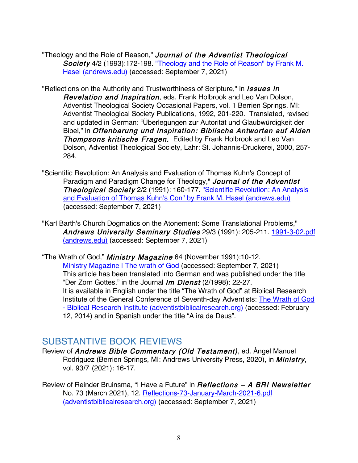"Theology and the Role of Reason," Journal of the Adventist Theological Society 4/2 (1993):172-198. "Theology and the Role of Reason" by Frank M. Hasel (andrews.edu) (accessed: September 7, 2021)

"Reflections on the Authority and Trustworthiness of Scripture," in *Issues in* Revelation and Inspiration, eds. Frank Holbrook and Leo Van Dolson, Adventist Theological Society Occasional Papers, vol. 1 Berrien Springs, MI: Adventist Theological Society Publications, 1992, 201-220. Translated, revised and updated in German: "Überlegungen zur Autorität und Glaubwürdigkeit der Bibel," in Offenbarung und Inspiration: Biblische Antworten auf Alden Thompsons kritische Fragen. Edited by Frank Holbrook and Leo Van Dolson, Adventist Theological Society, Lahr: St. Johannis-Druckerei, 2000, 257- 284.

"Scientific Revolution: An Analysis and Evaluation of Thomas Kuhn's Concept of Paradigm and Paradigm Change for Theology," Journal of the Adventist Theological Society 2/2 (1991): 160-177. "Scientific Revolution: An Analysis and Evaluation of Thomas Kuhn's Con" by Frank M. Hasel (andrews.edu) (accessed: September 7, 2021)

"Karl Barth's Church Dogmatics on the Atonement: Some Translational Problems," Andrews University Seminary Studies 29/3 (1991): 205-211. 1991-3-02.pdf (andrews.edu) (accessed: September 7, 2021)

"The Wrath of God," *Ministry Magazine* 64 (November 1991):10-12. Ministry Magazine | The wrath of God (accessed: September 7, 2021) This article has been translated into German and was published under the title "Der Zorn Gottes," in the Journal Im Dienst (2/1998): 22-27. It is available in English under the title "The Wrath of God" at Biblical Research Institute of the General Conference of Seventh-day Adventists: The Wrath of God - Biblical Research Institute (adventistbiblicalresearch.org) (accessed: February 12, 2014) and in Spanish under the title "A ira de Deus".

## SUBSTANTIVE BOOK REVIEWS

Review of Andrews Bible Commentary (Old Testament), ed. Ángel Manuel Rodriguez (Berrien Springs, MI: Andrews University Press, 2020), in *Ministry*, vol. 93/7 (2021): 16-17.

Review of Reinder Bruinsma, "I Have a Future" in *Reflections - A BRI Newsletter* No. 73 (March 2021), 12. Reflections-73-January-March-2021-6.pdf (adventistbiblicalresearch.org) (accessed: September 7, 2021)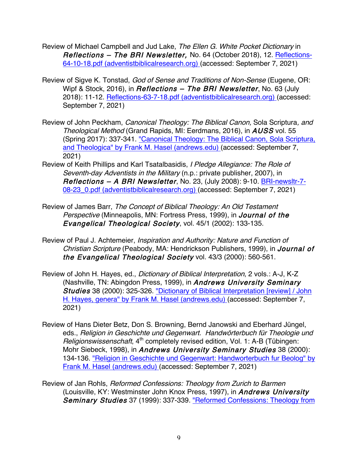- Review of Michael Campbell and Jud Lake, The Ellen G. White Pocket Dictionary in Reflections – The BRI Newsletter, No. 64 (October 2018), 12. Reflections-64-10-18.pdf (adventistbiblicalresearch.org) (accessed: September 7, 2021)
- Review of Sigve K. Tonstad, God of Sense and Traditions of Non-Sense (Eugene, OR: Wipf & Stock, 2016), in *Reflections - The BRI Newsletter*, No. 63 (July 2018): 11-12. Reflections-63-7-18.pdf (adventistbiblicalresearch.org) (accessed: September 7, 2021)
- Review of John Peckham, Canonical Theology: The Biblical Canon, Sola Scriptura, and Theological Method (Grand Rapids, MI: Eerdmans, 2016), in AUSS vol. 55 (Spring 2017): 337-341. "Canonical Theology: The Biblical Canon, Sola Scriptura, and Theologica" by Frank M. Hasel (andrews.edu) (accessed: September 7, 2021)
- Review of Keith Phillips and Karl Tsatalbasidis, I Pledge Allegiance: The Role of Seventh-day Adventists in the Military (n.p.: private publisher, 2007), in Reflections – A BRI Newsletter, No. 23, (July 2008): 9-10. BRI-newsltr-7- 08-23\_0.pdf (adventistbiblicalresearch.org) (accessed: September 7, 2021)
- Review of James Barr, The Concept of Biblical Theology: An Old Testament Perspective (Minneapolis, MN: Fortress Press, 1999), in Journal of the Evangelical Theological Society, vol. 45/1 (2002): 133-135.
- Review of Paul J. Achtemeier, Inspiration and Authority: Nature and Function of Christian Scripture (Peabody, MA: Hendrickson Publishers, 1999), in Journal of the Evangelical Theological Society vol. 43/3 (2000): 560-561.
- Review of John H. Hayes, ed., Dictionary of Biblical Interpretation, 2 vols.: A-J, K-Z (Nashville, TN: Abingdon Press, 1999), in Andrews University Seminary Studies 38 (2000): 325-326. "Dictionary of Biblical Interpretation [review] / John H. Hayes, genera" by Frank M. Hasel (andrews.edu) (accessed: September 7, 2021)
- Review of Hans Dieter Betz, Don S. Browning, Bernd Janowski and Eberhard Jüngel, eds., Religion in Geschichte und Gegenwart. Handwörterbuch für Theologie und Religionswissenschaft, 4<sup>th</sup> completely revised edition, Vol. 1: A-B (Tübingen: Mohr Siebeck, 1998), in Andrews University Seminary Studies 38 (2000): 134-136. "Religion in Geschichte und Gegenwart: Handworterbuch fur Beolog" by Frank M. Hasel (andrews.edu) (accessed: September 7, 2021)
- Review of Jan Rohls, Reformed Confessions: Theology from Zurich to Barmen (Louisville, KY: Westminster John Knox Press, 1997), in Andrews University Seminary Studies 37 (1999): 337-339. "Reformed Confessions: Theology from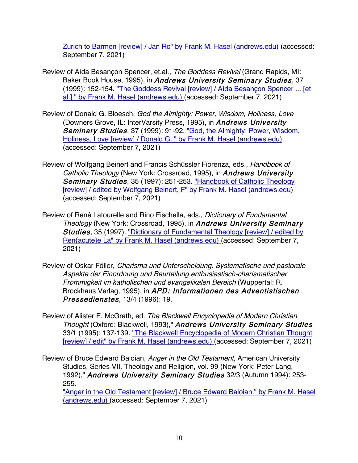Zurich to Barmen [review] / Jan Ro" by Frank M. Hasel (andrews.edu) (accessed: September 7, 2021)

- Review of Aída Besancon Spencer, et.al., The Goddess Revival (Grand Rapids, MI: Baker Book House, 1995), in Andrews University Seminary Studies, 37 (1999): 152-154. "The Goddess Revival [review] / Aída Besançon Spencer ... [et al.]." by Frank M. Hasel (andrews.edu) (accessed: September 7, 2021)
- Review of Donald G. Bloesch, God the Almighty: Power, Wisdom, Holiness, Love (Downers Grove, IL: InterVarsity Press, 1995), in Andrews University Seminary Studies, 37 (1999): 91-92. "God, the Almighty: Power, Wisdom, Holiness, Love [review] / Donald G. " by Frank M. Hasel (andrews.edu) (accessed: September 7, 2021)
- Review of Wolfgang Beinert and Francis Schüssler Fiorenza, eds., Handbook of Catholic Theology (New York: Crossroad, 1995), in Andrews University Seminary Studies, 35 (1997): 251-253. "Handbook of Catholic Theology [review] / edited by Wolfgang Beinert, F" by Frank M. Hasel (andrews.edu) (accessed: September 7, 2021)
- Review of René Latourelle and Rino Fischella, eds., Dictionary of Fundamental Theology (New York: Crossroad, 1995), in Andrews University Seminary Studies, 35 (1997). "Dictionary of Fundamental Theology [review] / edited by Ren{acute}e La" by Frank M. Hasel (andrews.edu) (accessed: September 7, 2021)
- Review of Oskar Föller, Charisma und Unterscheidung. Systematische und pastorale Aspekte der Einordnung und Beurteilung enthusiastisch-charismatischer Frömmigkeit im katholischen und evangelikalen Bereich (Wuppertal: R. Brockhaus Verlag, 1995), in APD: Informationen des Adventistischen Pressedienstes, 13/4 (1996): 19.
- Review of Alister E. McGrath, ed. The Blackwell Encyclopedia of Modern Christian Thought (Oxford: Blackwell, 1993)," Andrews University Seminary Studies 33/1 (1995): 137-139. "The Blackwell Encyclopedia of Modern Christian Thought [review] / edit" by Frank M. Hasel (andrews.edu) (accessed: September 7, 2021)
- Review of Bruce Edward Baloian, Anger in the Old Testament, American University Studies, Series VII, Theology and Religion, vol. 99 (New York: Peter Lang, 1992)," Andrews University Seminary Studies 32/3 (Autumn 1994): 253- 255.

"Anger in the Old Testament [review] / Bruce Edward Baloian." by Frank M. Hasel (andrews.edu) (accessed: September 7, 2021)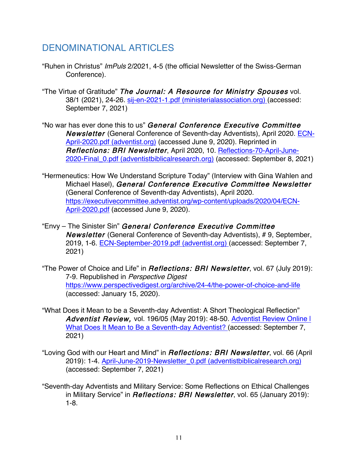## DENOMINATIONAL ARTICLES

- "Ruhen in Christus" ImPuls 2/2021, 4-5 (the official Newsletter of the Swiss-German Conference).
- "The Virtue of Gratitude" The Journal: A Resource for Ministry Spouses vol. 38/1 (2021), 24-26. sij-en-2021-1.pdf (ministerialassociation.org) (accessed: September 7, 2021)
- "No war has ever done this to us" General Conference Executive Committee Newsletter (General Conference of Seventh-day Adventists), April 2020. ECN-April-2020.pdf (adventist.org) (accessed June 9, 2020). Reprinted in Reflections: BRI Newsletter, April 2020, 10. Reflections-70-April-June-2020-Final\_0.pdf (adventistbiblicalresearch.org) (accessed: September 8, 2021)
- "Hermeneutics: How We Understand Scripture Today" (Interview with Gina Wahlen and Michael Hasel), General Conference Executive Committee Newsletter (General Conference of Seventh-day Adventists), April 2020. https://executivecommittee.adventist.org/wp-content/uploads/2020/04/ECN-April-2020.pdf (accessed June 9, 2020).
- "Envy The Sinister Sin" General Conference Executive Committee Newsletter (General Conference of Seventh-day Adventists), # 9, September, 2019, 1-6. ECN-September-2019.pdf (adventist.org) (accessed: September 7, 2021)
- "The Power of Choice and Life" in *Reflections: BRI Newsletter*, vol. 67 (July 2019): 7-9. Republished in Perspective Digest https://www.perspectivedigest.org/archive/24-4/the-power-of-choice-and-life (accessed: January 15, 2020).
- "What Does it Mean to be a Seventh-day Adventist: A Short Theological Reflection" Adventist Review, vol. 196/05 (May 2019): 48-50. Adventist Review Online I What Does It Mean to Be a Seventh-day Adventist? (accessed: September 7, 2021)
- "Loving God with our Heart and Mind" in *Reflections: BRI Newsletter*, vol. 66 (April 2019): 1-4. April-June-2019-Newsletter\_0.pdf (adventistbiblicalresearch.org) (accessed: September 7, 2021)
- "Seventh-day Adventists and Military Service: Some Reflections on Ethical Challenges in Military Service" in *Reflections: BRI Newsletter*, vol. 65 (January 2019): 1-8.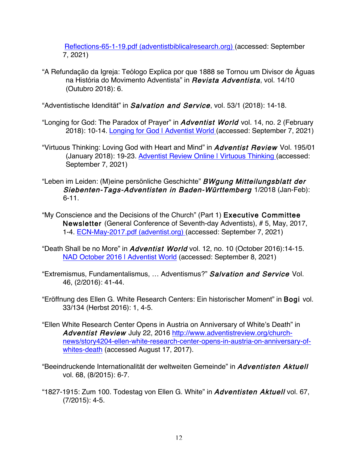Reflections-65-1-19.pdf (adventistbiblicalresearch.org) (accessed: September 7, 2021)

"A Refundação da Igreja: Teólogo Explica por que 1888 se Tornou um Divisor de Águas na História do Movimento Adventista" in Revista Adventista, vol. 14/10 (Outubro 2018): 6.

"Adventistische Idendität" in Salvation and Service, vol. 53/1 (2018): 14-18.

- "Longing for God: The Paradox of Prayer" in *Adventist World* vol. 14, no. 2 (February 2018): 10-14. Longing for God | Adventist World (accessed: September 7, 2021)
- "Virtuous Thinking: Loving God with Heart and Mind" in **Adventist Review** Vol. 195/01 (January 2018): 19-23. Adventist Review Online | Virtuous Thinking (accessed: September 7, 2021)
- "Leben im Leiden: (M)eine persönliche Geschichte" BWgung Mitteilungsblatt der Siebenten-Tags-Adventisten in Baden-Württemberg 1/2018 (Jan-Feb): 6-11.
- "My Conscience and the Decisions of the Church" (Part 1) Executive Committee Newsletter (General Conference of Seventh-day Adventists), # 5, May, 2017, 1-4. ECN-May-2017.pdf (adventist.org) (accessed: September 7, 2021)
- "Death Shall be no More" in Adventist World vol. 12, no. 10 (October 2016):14-15. NAD October 2016 | Adventist World (accessed: September 8, 2021)
- "Extremismus, Fundamentalismus, … Adventismus?" Salvation and Service Vol. 46, (2/2016): 41-44.
- "Eröffnung des Ellen G. White Research Centers: Ein historischer Moment" in Bogi vol. 33/134 (Herbst 2016): 1, 4-5.
- "Ellen White Research Center Opens in Austria on Anniversary of White's Death" in Adventist Review July 22, 2016 http://www.adventistreview.org/churchnews/story4204-ellen-white-research-center-opens-in-austria-on-anniversary-ofwhites-death (accessed August 17, 2017).
- "Beeindruckende Internationalität der weltweiten Gemeinde" in Adventisten Aktuell vol. 68, (8/2015): 6-7.
- "1827-1915: Zum 100. Todestag von Ellen G. White" in Adventisten Aktuell vol. 67, (7/2015): 4-5.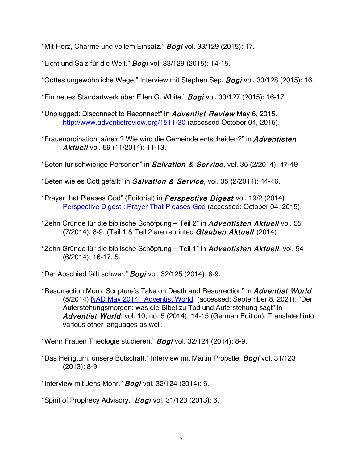"Mit Herz, Charme und vollem Einsatz." Bogi vol. 33/129 (2015): 17.

"Licht und Salz für die Welt." Bogi vol. 33/129 (2015): 14-15.

"Gottes ungewöhnliche Wege." Interview mit Stephen Sep. Bogi vol. 33/128 (2015): 16.

"Ein neues Standartwerk über Ellen G. White." Bogi vol. 33/127 (2015): 16-17.

- "Unplugged: Disconnect to Reconnect" in Adventist Review May 6, 2015. http://www.adventistreview.org/1511-30 (accessed October 04, 2015).
- "Frauenordination ja/nein? Wie wird die Gemeinde entscheiden?" in Adventisten Aktuell vol. 59 (11/2014): 11-13.

"Beten für schwierige Personen" in Salvation & Service, vol. 35 (2/2014): 47-49

"Beten wie es Gott gefällt" in *Salvation & Service*, vol. 35 (2/2014): 44-46.

- "Prayer that Pleases God" (Editorial) in *Perspective Digest* vol. 19/2 (2014) Perspective Digest : Prayer That Pleases God (accessed: October 04, 2015).
- "Zehn Gründe für die biblische Schöfpung Teil 2" in Adventisten Aktuell vol. 55 (7/2014): 8-9. (Teil 1 & Teil 2 are reprinted Glauben Aktuell (2014)
- "Zehn Gründe für die biblische Schöpfung Teil 1" in Adventisten Aktuell, vol. 54 (6/2014): 16-17, 5.

"Der Abschied fällt schwer." Bogi vol. 32/125 (2014): 8-9.

"Resurrection Morn: Scripture's Take on Death and Resurrection" in Adventist World (5/2014) NAD May 2014 | Adventist World (accessed: September 8, 2021); "Der Auferstehungsmorgen: was die Bibel zu Tod und Auferstehung sagt" in Adventist World, vol. 10, no. 5 (2014): 14-15 (German Edition). Translated into various other languages as well.

"Wenn Frauen Theologie studieren." Bogi vol. 32/124 (2014): 8-9.

"Das Heiligtum, unsere Botschaft." Interview mit Martin Pröbstle. Bogi vol. 31/123 (2013): 8-9.

"Interview mit Jens Mohr." **Bogi** vol. 32/124 (2014): 6.

"Spirit of Prophecy Advisory." Bogi vol. 31/123 (2013): 6.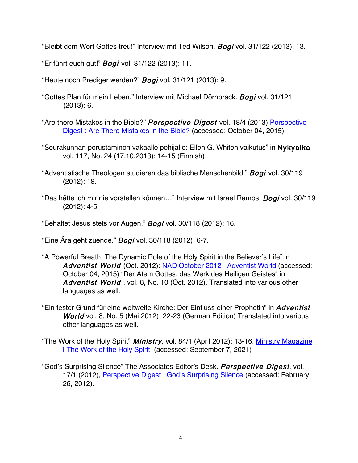"Bleibt dem Wort Gottes treu!" Interview mit Ted Wilson. Bogi vol. 31/122 (2013): 13.

"Er führt euch gut!" Bogi vol. 31/122 (2013): 11.

"Heute noch Prediger werden?" Bogi vol. 31/121 (2013): 9.

- "Gottes Plan für mein Leben." Interview mit Michael Dörnbrack. Bogi vol. 31/121 (2013): 6.
- "Are there Mistakes in the Bible?" Perspective Digest vol. 18/4 (2013) Perspective Digest : Are There Mistakes in the Bible? (accessed: October 04, 2015).
- "Seurakunnan perustaminen vakaalle pohijalle: Ellen G. Whiten vaikutus" in Nykyaika vol. 117, No. 24 (17.10.2013): 14-15 (Finnish)
- "Adventistische Theologen studieren das biblische Menschenbild." Bogi vol. 30/119 (2012): 19.
- "Das hätte ich mir nie vorstellen können..." Interview mit Israel Ramos. Bogi vol. 30/119 (2012): 4-5.

"Behaltet Jesus stets vor Augen." Bogi vol. 30/118 (2012): 16.

"Eine Ära geht zuende." **Bogi** vol. 30/118 (2012): 6-7.

- "A Powerful Breath: The Dynamic Role of the Holy Spirit in the Believer's Life" in Adventist World (Oct. 2012): NAD October 2012 | Adventist World (accessed: October 04, 2015) "Der Atem Gottes: das Werk des Heiligen Geistes" in Adventist World, vol. 8, No. 10 (Oct. 2012). Translated into various other languages as well.
- "Ein fester Grund für eine weltweite Kirche: Der Einfluss einer Prophetin" in Adventist World vol. 8, No. 5 (Mai 2012): 22-23 (German Edition) Translated into various other languages as well.
- "The Work of the Holy Spirit" *Ministry*, vol. 84/1 (April 2012): 13-16. Ministry Magazine | The Work of the Holy Spirit (accessed: September 7, 2021)
- "God's Surprising Silence" The Associates Editor's Desk. Perspective Digest, vol. 17/1 (2012), Perspective Digest : God's Surprising Silence (accessed: February 26, 2012).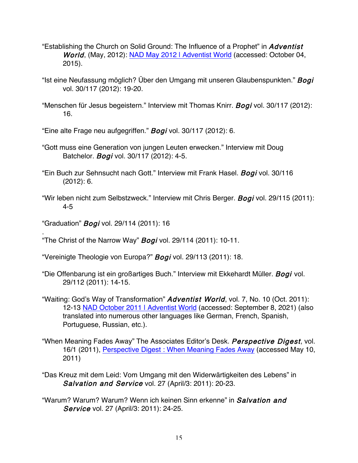- "Establishing the Church on Solid Ground: The Influence of a Prophet" in *Adventist* World, (May, 2012): NAD May 2012 | Adventist World (accessed: October 04, 2015).
- "Ist eine Neufassung möglich? Über den Umgang mit unseren Glaubenspunkten." Bogi vol. 30/117 (2012): 19-20.
- "Menschen für Jesus begeistern." Interview mit Thomas Knirr. Bogi vol. 30/117 (2012): 16.
- "Eine alte Frage neu aufgegriffen." Bogi vol. 30/117 (2012): 6.
- "Gott muss eine Generation von jungen Leuten erwecken." Interview mit Doug Batchelor. Bogi vol. 30/117 (2012): 4-5.
- "Ein Buch zur Sehnsucht nach Gott." Interview mit Frank Hasel. Bogi vol. 30/116 (2012): 6.
- "Wir leben nicht zum Selbstzweck." Interview mit Chris Berger. Bogi vol. 29/115 (2011): 4-5
- "Graduation" Bogi vol. 29/114 (2011): 16
- . "The Christ of the Narrow Way" **Bogi** vol. 29/114 (2011): 10-11.
- "Vereinigte Theologie von Europa?" Bogi vol. 29/113 (2011): 18.
- "Die Offenbarung ist ein großartiges Buch." Interview mit Ekkehardt Müller. Bogi vol. 29/112 (2011): 14-15.
- "Waiting: God's Way of Transformation" **Adventist World**, vol. 7, No. 10 (Oct. 2011): 12-13 NAD October 2011 | Adventist World (accessed: September 8, 2021) (also translated into numerous other languages like German, French, Spanish, Portuguese, Russian, etc.).
- "When Meaning Fades Away" The Associates Editor's Desk. Perspective Digest, vol. 16/1 (2011), Perspective Digest : When Meaning Fades Away (accessed May 10, 2011)
- "Das Kreuz mit dem Leid: Vom Umgang mit den Widerwärtigkeiten des Lebens" in Salvation and Service vol. 27 (April/3: 2011): 20-23.
- "Warum? Warum? Warum? Wenn ich keinen Sinn erkenne" in Salvation and Service vol. 27 (April/3: 2011): 24-25.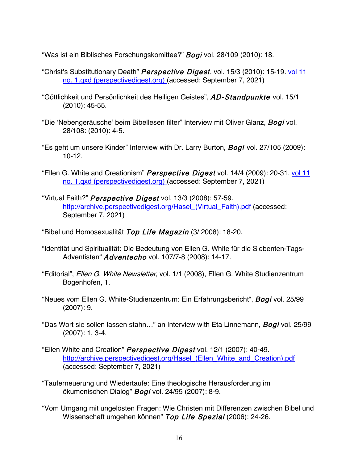"Was ist ein Biblisches Forschungskomittee?" Bogi vol. 28/109 (2010): 18.

- "Christ's Substitutionary Death" Perspective Digest, vol. 15/3 (2010): 15-19. vol 11 no. 1.qxd (perspectivedigest.org) (accessed: September 7, 2021)
- "Göttlichkeit und Persönlichkeit des Heiligen Geistes", AD-Standpunkte vol. 15/1 (2010): 45-55.
- "Die 'Nebengeräusche' beim Bibellesen filter" Interview mit Oliver Glanz, Bogi vol. 28/108: (2010): 4-5.
- "Es geht um unsere Kinder" Interview with Dr. Larry Burton, **Bogi** vol. 27/105 (2009): 10-12.
- "Ellen G. White and Creationism" Perspective Digest vol. 14/4 (2009): 20-31. vol 11 no. 1.qxd (perspectivedigest.org) (accessed: September 7, 2021)
- "Virtual Faith?" Perspective Digest vol. 13/3 (2008): 57-59. http://archive.perspectivedigest.org/Hasel\_(Virtual\_Faith).pdf (accessed: September 7, 2021)
- "Bibel und Homosexualität Top Life Magazin (3/ 2008): 18-20.
- "Identität und Spiritualität: Die Bedeutung von Ellen G. White für die Siebenten-Tags-Adventisten" Adventecho vol. 107/7-8 (2008): 14-17.
- "Editorial", Ellen G. White Newsletter, vol. 1/1 (2008), Ellen G. White Studienzentrum Bogenhofen, 1.
- "Neues vom Ellen G. White-Studienzentrum: Ein Erfahrungsbericht", Bogi vol. 25/99 (2007): 9.
- "Das Wort sie sollen lassen stahn..." an Interview with Eta Linnemann, Bogi vol. 25/99 (2007): 1, 3-4.
- "Ellen White and Creation" Perspective Digest vol. 12/1 (2007): 40-49. http://archive.perspectivedigest.org/Hasel (Ellen White and Creation).pdf (accessed: September 7, 2021)
- "Tauferneuerung und Wiedertaufe: Eine theologische Herausforderung im ökumenischen Dialog" Bogi vol. 24/95 (2007): 8-9.
- "Vom Umgang mit ungelösten Fragen: Wie Christen mit Differenzen zwischen Bibel und Wissenschaft umgehen können" Top Life Spezial (2006): 24-26.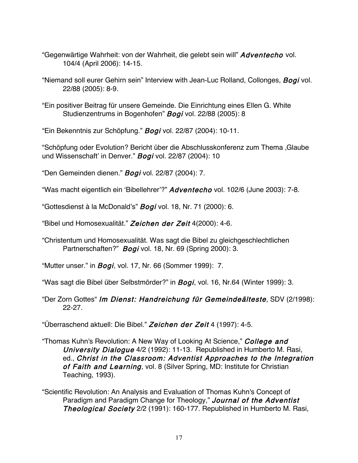- "Gegenwärtige Wahrheit: von der Wahrheit, die gelebt sein will" Adventecho vol. 104/4 (April 2006): 14-15.
- "Niemand soll eurer Gehirn sein" Interview with Jean-Luc Rolland, Collonges, Bogi vol. 22/88 (2005): 8-9.
- "Ein positiver Beitrag für unsere Gemeinde. Die Einrichtung eines Ellen G. White Studienzentrums in Bogenhofen" Bogi vol. 22/88 (2005): 8

"Ein Bekenntnis zur Schöpfung." Bogi vol. 22/87 (2004): 10-11.

"Schöpfung oder Evolution? Bericht über die Abschlusskonferenz zum Thema 'Glaube und Wissenschaft' in Denver." Bogi vol. 22/87 (2004): 10

"Den Gemeinden dienen." **Bogi** vol. 22/87 (2004): 7.

"Was macht eigentlich ein 'Bibellehrer'?" Adventecho vol. 102/6 (June 2003): 7-8.

"Gottesdienst à la McDonald's" Bogi vol. 18, Nr. 71 (2000): 6.

"Bibel und Homosexualität." Zeichen der Zeit 4(2000): 4-6.

"Christentum und Homosexualität. Was sagt die Bibel zu gleichgeschlechtlichen Partnerschaften?" Bogi vol. 18, Nr. 69 (Spring 2000): 3.

"Mutter unser." in *Bogi*, vol. 17, Nr. 66 (Sommer 1999): 7.

"Was sagt die Bibel über Selbstmörder?" in *Bogi*, vol. 16, Nr.64 (Winter 1999): 3.

"Der Zorn Gottes" Im Dienst: Handreichung für Gemeindeälteste, SDV (2/1998): 22-27.

"Überraschend aktuell: Die Bibel." Zeichen der Zeit 4 (1997): 4-5.

"Thomas Kuhn's Revolution: A New Way of Looking At Science," College and University Dialogue 4/2 (1992): 11-13. Republished in Humberto M. Rasi, ed., Christ in the Classroom: Adventist Approaches to the Integration of Faith and Learning, vol. 8 (Silver Spring, MD: Institute for Christian Teaching, 1993).

"Scientific Revolution: An Analysis and Evaluation of Thomas Kuhn's Concept of Paradigm and Paradigm Change for Theology," Journal of the Adventist **Theological Society** 2/2 (1991): 160-177. Republished in Humberto M. Rasi,